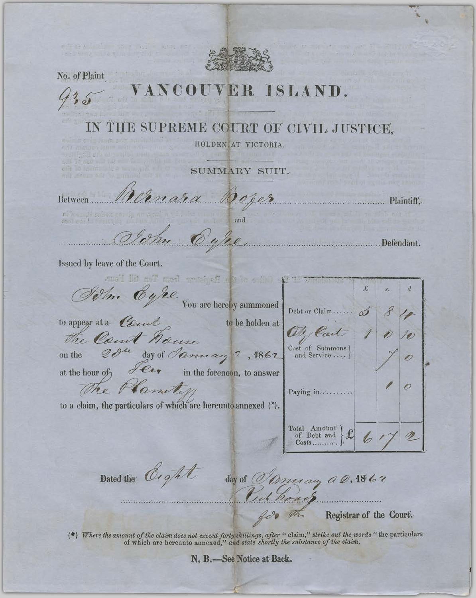

No. of Plaint

COUVER ISLAND. IN THE SUPREME COURT OF CIVIL JUSTICE. HOLDEN AT VICTORIA. SUMMARY SUIT. Anara Oope Between Plaintiff, Defendant. Issued by leave of the Court. and if my happened wan Test if I bun Eyee £  $d$ You are hereby summoned Debt or Claim......  $\circ$ to appear at a Court **Example 10** to be holden at Oly Cart the Court house 20<sup>4</sup> day of *January* ?, 1862 on the at the hour of The Plantin  $\overline{\mathscr{O}}$ Paying in.......... to a claim, the particulars of which are hereunto annexed (\*). Total Amount<br>of Debt and P 6  $Cosis$ Dated the Cight day of *Omnian a 0,1862* Registrar of the Court. h

(\*) Where the amount of the claim does not exceed forty shillings, after "claim," strike out the words "the particulars" of which are hereunto annexed," and state shortly the substance of the claim.

N. B.-See Notice at Back.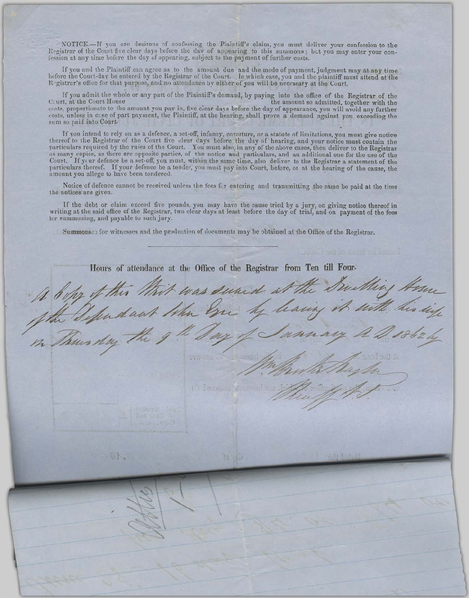NOTICE.--If you are desirous of confessing the Plaintiff's claim, you must deliver your confession to the Registrar of the Court five clear days before the day of appearing to this summons; but you may enter your confession at any time before the day of appearing, subject to the payment of further costs.

If you and the Plaintiff can agree as to the amount due and the mode of payment, judgment may at any time hefore the Court-day be entered by the Registrar of the Court. In which case, you and the plaintiff must attend at the Registrar's office for that purpose, and no attendance by either of you will be necessary at the Court.

If you admit the whole or any part of the Plaintiff's demand, by paying into the office of the Registrar of the the amount so admitted, together with the Court, at the Court House costs, proportionate to the amount you pay in, five clear days before the day of appearance, you will avoid any further costs, unless in case of part payment, the Plaintiff, at the hearing, shall prove a demand against you exceeding the sum so paid into Court.

If you intend to rely on as a defence, a set-off, infancy, coverture, or a statute of limitations, you must give notice<br>thereof to the Registrar of the Court five clear days before the day of hearing, and your notice must Court. If your defence be a set-off, you must, within the same time, also deliver to the Registrar a statement of the particulars thereof. If your defence be a tender, you must pay into Court, before, or at the hearing of the cause, the amount you allege to have been tendered.

Notice of defence cannot be received unless the fees for entering and transmitting the same be paid at the time the notices are given.

If the debt or claim exceed five pounds, you may have the cause tried by a jury, on giving notice thereof in writing at the said office of the Registrar, two clear days at least before the day of trial, and on payment of the fees tor summoning, and payable to such jury.

Summonses for witnesses and the production of documents may be obtained at the Office of the Registrar.

Hours of attendance at the Office of the Registrar from Ten till Four. It befor it this thit was sund at the Southing Home<br>of the Deputant the Son by banny it with his ing U. B. Bandidor Pour Toul  $1 - 15 - 0$  $\mathbb{C}$  in .